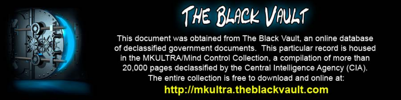

This document was obtained from The Black Vault, an online database of declassified government documents. This particular record is housed in the MKULTRA/Mind Control Collection, a compilation of more than 20,000 pages declassified by the Central Intelligence Agency (CIA). The entire collection is free to download and online at: http://mkultra.theblackvault.com